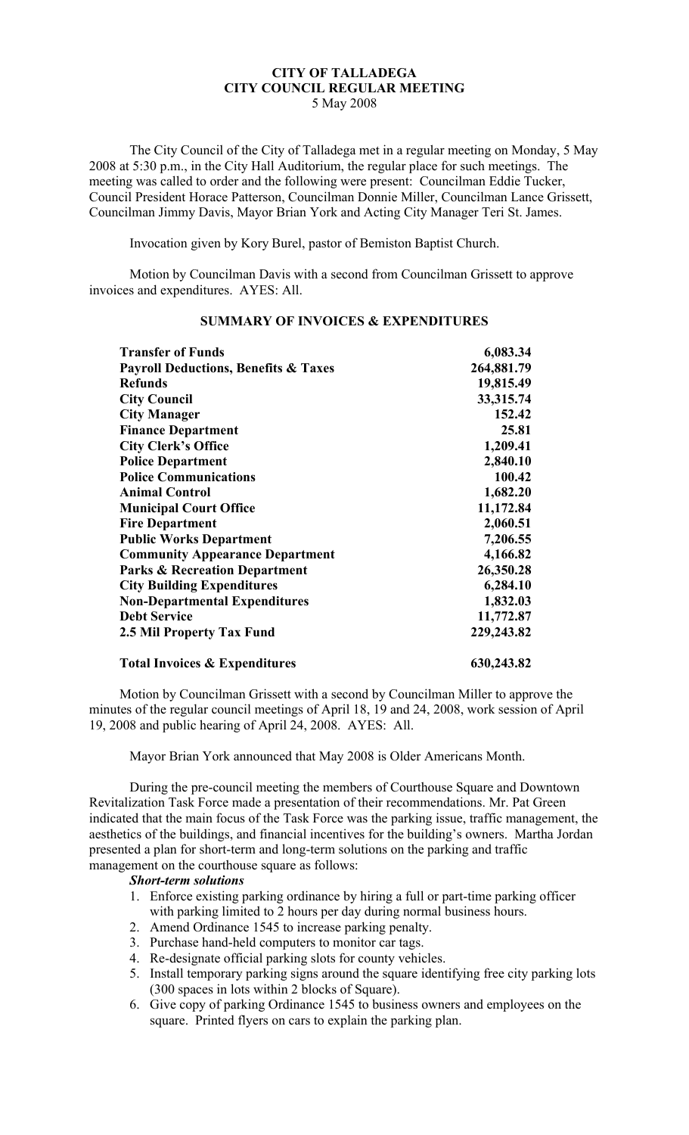# **CITY OF TALLADEGA CITY COUNCIL REGULAR MEETING**

5 May 2008

The City Council of the City of Talladega met in a regular meeting on Monday, 5 May 2008 at 5:30 p.m., in the City Hall Auditorium, the regular place for such meetings. The meeting was called to order and the following were present: Councilman Eddie Tucker, Council President Horace Patterson, Councilman Donnie Miller, Councilman Lance Grissett, Councilman Jimmy Davis, Mayor Brian York and Acting City Manager Teri St. James.

Invocation given by Kory Burel, pastor of Bemiston Baptist Church.

Motion by Councilman Davis with a second from Councilman Grissett to approve invoices and expenditures. AYES: All.

| <b>Transfer of Funds</b>                        | 6,083.34   |
|-------------------------------------------------|------------|
| <b>Payroll Deductions, Benefits &amp; Taxes</b> | 264,881.79 |
| <b>Refunds</b>                                  | 19,815.49  |
| <b>City Council</b>                             | 33,315.74  |
| <b>City Manager</b>                             | 152.42     |
| <b>Finance Department</b>                       | 25.81      |
| <b>City Clerk's Office</b>                      | 1,209.41   |
| <b>Police Department</b>                        | 2,840.10   |
| <b>Police Communications</b>                    | 100.42     |
| <b>Animal Control</b>                           | 1,682.20   |
| <b>Municipal Court Office</b>                   | 11,172.84  |
| <b>Fire Department</b>                          | 2,060.51   |
| <b>Public Works Department</b>                  | 7,206.55   |
| <b>Community Appearance Department</b>          | 4,166.82   |
| <b>Parks &amp; Recreation Department</b>        | 26,350.28  |
| <b>City Building Expenditures</b>               | 6,284.10   |
| <b>Non-Departmental Expenditures</b>            | 1,832.03   |
| <b>Debt Service</b>                             | 11,772.87  |
| <b>2.5 Mil Property Tax Fund</b>                | 229,243.82 |
| <b>Total Invoices &amp; Expenditures</b>        | 630,243.82 |

## **SUMMARY OF INVOICES & EXPENDITURES**

Motion by Councilman Grissett with a second by Councilman Miller to approve the minutes of the regular council meetings of April 18, 19 and 24, 2008, work session of April 19, 2008 and public hearing of April 24, 2008. AYES: All.

Mayor Brian York announced that May 2008 is Older Americans Month.

During the pre-council meeting the members of Courthouse Square and Downtown Revitalization Task Force made a presentation of their recommendations. Mr. Pat Green indicated that the main focus of the Task Force was the parking issue, traffic management, the aesthetics of the buildings, and financial incentives for the building's owners. Martha Jordan presented a plan for short-term and long-term solutions on the parking and traffic management on the courthouse square as follows:

#### *Short-term solutions*

- 1. Enforce existing parking ordinance by hiring a full or part-time parking officer with parking limited to 2 hours per day during normal business hours.
- 2. Amend Ordinance 1545 to increase parking penalty.
- 3. Purchase hand-held computers to monitor car tags.
- 4. Re-designate official parking slots for county vehicles.
- 5. Install temporary parking signs around the square identifying free city parking lots (300 spaces in lots within 2 blocks of Square).
- 6. Give copy of parking Ordinance 1545 to business owners and employees on the square. Printed flyers on cars to explain the parking plan.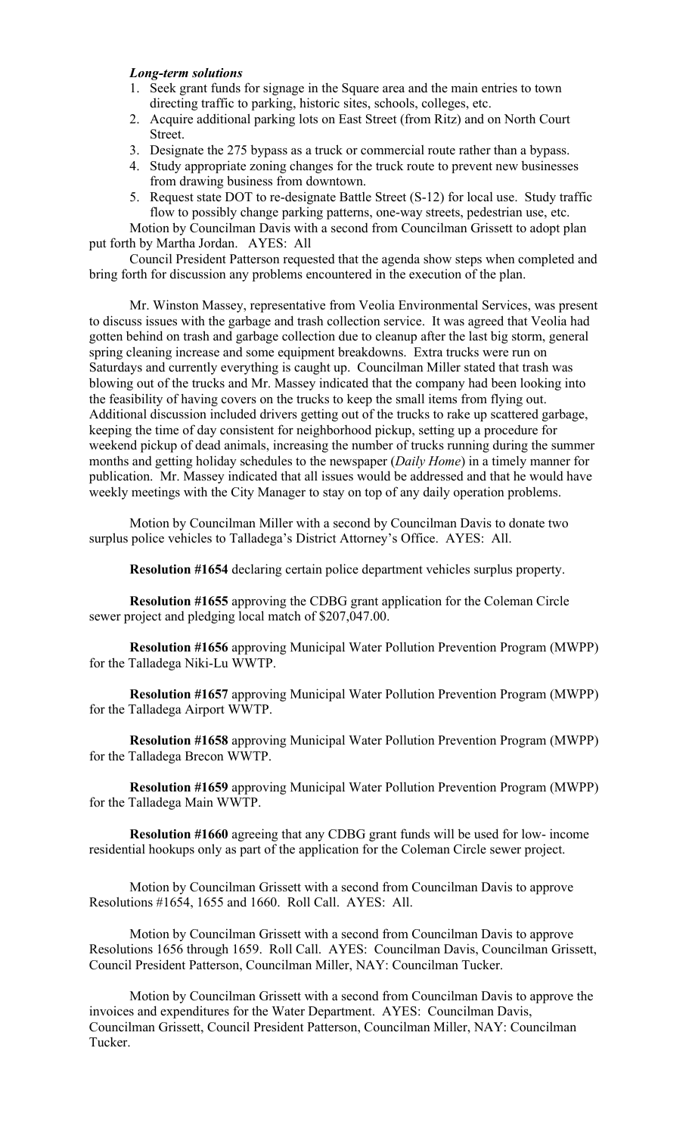#### *Long-term solutions*

- 1. Seek grant funds for signage in the Square area and the main entries to town directing traffic to parking, historic sites, schools, colleges, etc.
- 2. Acquire additional parking lots on East Street (from Ritz) and on North Court Street.
- 3. Designate the 275 bypass as a truck or commercial route rather than a bypass.
- 4. Study appropriate zoning changes for the truck route to prevent new businesses from drawing business from downtown.
- 5. Request state DOT to re-designate Battle Street (S-12) for local use. Study traffic flow to possibly change parking patterns, one-way streets, pedestrian use, etc.

Motion by Councilman Davis with a second from Councilman Grissett to adopt plan put forth by Martha Jordan. AYES: All

Council President Patterson requested that the agenda show steps when completed and bring forth for discussion any problems encountered in the execution of the plan.

Mr. Winston Massey, representative from Veolia Environmental Services, was present to discuss issues with the garbage and trash collection service. It was agreed that Veolia had gotten behind on trash and garbage collection due to cleanup after the last big storm, general spring cleaning increase and some equipment breakdowns. Extra trucks were run on Saturdays and currently everything is caught up. Councilman Miller stated that trash was blowing out of the trucks and Mr. Massey indicated that the company had been looking into the feasibility of having covers on the trucks to keep the small items from flying out. Additional discussion included drivers getting out of the trucks to rake up scattered garbage, keeping the time of day consistent for neighborhood pickup, setting up a procedure for weekend pickup of dead animals, increasing the number of trucks running during the summer months and getting holiday schedules to the newspaper (*Daily Home*) in a timely manner for publication. Mr. Massey indicated that all issues would be addressed and that he would have weekly meetings with the City Manager to stay on top of any daily operation problems.

Motion by Councilman Miller with a second by Councilman Davis to donate two surplus police vehicles to Talladega's District Attorney's Office. AYES: All.

**Resolution #1654** declaring certain police department vehicles surplus property.

**Resolution #1655** approving the CDBG grant application for the Coleman Circle sewer project and pledging local match of \$207,047.00.

**Resolution #1656** approving Municipal Water Pollution Prevention Program (MWPP) for the Talladega Niki-Lu WWTP.

**Resolution #1657** approving Municipal Water Pollution Prevention Program (MWPP) for the Talladega Airport WWTP.

**Resolution #1658** approving Municipal Water Pollution Prevention Program (MWPP) for the Talladega Brecon WWTP.

**Resolution #1659** approving Municipal Water Pollution Prevention Program (MWPP) for the Talladega Main WWTP.

**Resolution #1660** agreeing that any CDBG grant funds will be used for low- income residential hookups only as part of the application for the Coleman Circle sewer project.

Motion by Councilman Grissett with a second from Councilman Davis to approve Resolutions #1654, 1655 and 1660. Roll Call. AYES: All.

Motion by Councilman Grissett with a second from Councilman Davis to approve Resolutions 1656 through 1659. Roll Call. AYES: Councilman Davis, Councilman Grissett, Council President Patterson, Councilman Miller, NAY: Councilman Tucker.

Motion by Councilman Grissett with a second from Councilman Davis to approve the invoices and expenditures for the Water Department. AYES: Councilman Davis, Councilman Grissett, Council President Patterson, Councilman Miller, NAY: Councilman Tucker.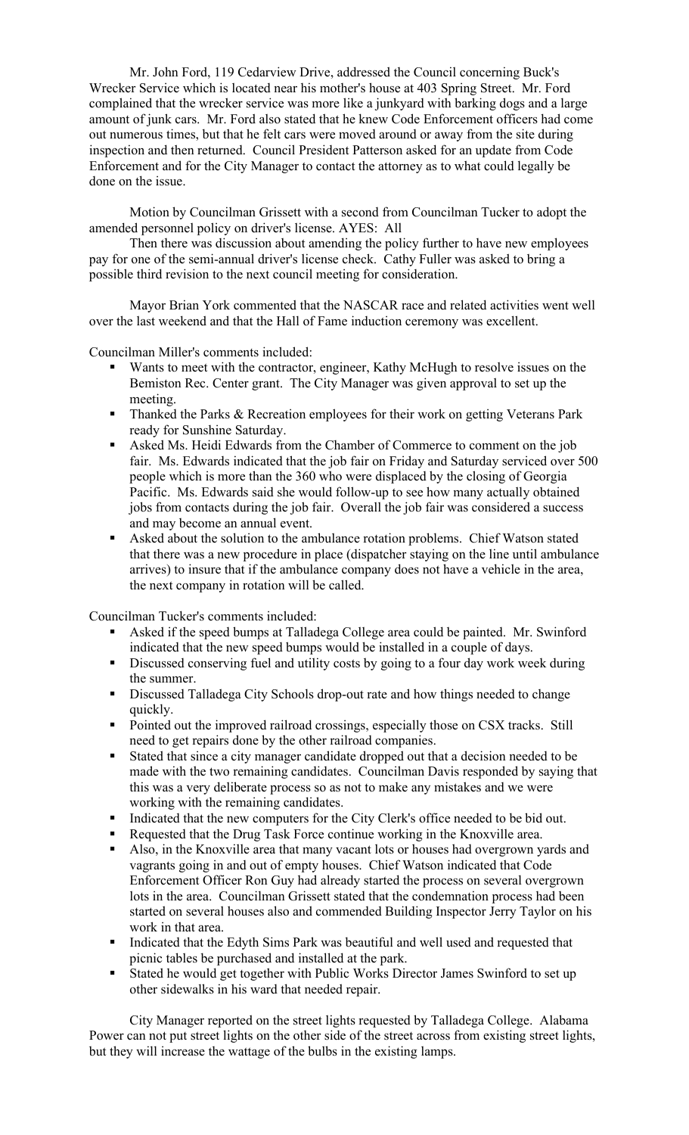Mr. John Ford, 119 Cedarview Drive, addressed the Council concerning Buck's Wrecker Service which is located near his mother's house at 403 Spring Street. Mr. Ford complained that the wrecker service was more like a junkyard with barking dogs and a large amount of junk cars. Mr. Ford also stated that he knew Code Enforcement officers had come out numerous times, but that he felt cars were moved around or away from the site during inspection and then returned. Council President Patterson asked for an update from Code Enforcement and for the City Manager to contact the attorney as to what could legally be done on the issue.

Motion by Councilman Grissett with a second from Councilman Tucker to adopt the amended personnel policy on driver's license. AYES: All

Then there was discussion about amending the policy further to have new employees pay for one of the semi-annual driver's license check. Cathy Fuller was asked to bring a possible third revision to the next council meeting for consideration.

Mayor Brian York commented that the NASCAR race and related activities went well over the last weekend and that the Hall of Fame induction ceremony was excellent.

Councilman Miller's comments included:

- Wants to meet with the contractor, engineer, Kathy McHugh to resolve issues on the Bemiston Rec. Center grant. The City Manager was given approval to set up the meeting.
- **Thanked the Parks & Recreation employees for their work on getting Veterans Park** ready for Sunshine Saturday.
- Asked Ms. Heidi Edwards from the Chamber of Commerce to comment on the job fair. Ms. Edwards indicated that the job fair on Friday and Saturday serviced over 500 people which is more than the 360 who were displaced by the closing of Georgia Pacific. Ms. Edwards said she would follow-up to see how many actually obtained jobs from contacts during the job fair. Overall the job fair was considered a success and may become an annual event.
- Asked about the solution to the ambulance rotation problems. Chief Watson stated that there was a new procedure in place (dispatcher staying on the line until ambulance arrives) to insure that if the ambulance company does not have a vehicle in the area, the next company in rotation will be called.

Councilman Tucker's comments included:

- Asked if the speed bumps at Talladega College area could be painted. Mr. Swinford indicated that the new speed bumps would be installed in a couple of days.
- Discussed conserving fuel and utility costs by going to a four day work week during the summer.
- Discussed Talladega City Schools drop-out rate and how things needed to change quickly.
- Pointed out the improved railroad crossings, especially those on CSX tracks. Still need to get repairs done by the other railroad companies.
- Stated that since a city manager candidate dropped out that a decision needed to be made with the two remaining candidates. Councilman Davis responded by saying that this was a very deliberate process so as not to make any mistakes and we were working with the remaining candidates.
- Indicated that the new computers for the City Clerk's office needed to be bid out.
- Requested that the Drug Task Force continue working in the Knoxville area.
- Also, in the Knoxville area that many vacant lots or houses had overgrown yards and vagrants going in and out of empty houses. Chief Watson indicated that Code Enforcement Officer Ron Guy had already started the process on several overgrown lots in the area. Councilman Grissett stated that the condemnation process had been started on several houses also and commended Building Inspector Jerry Taylor on his work in that area.
- Indicated that the Edyth Sims Park was beautiful and well used and requested that picnic tables be purchased and installed at the park.
- Stated he would get together with Public Works Director James Swinford to set up other sidewalks in his ward that needed repair.

City Manager reported on the street lights requested by Talladega College. Alabama Power can not put street lights on the other side of the street across from existing street lights, but they will increase the wattage of the bulbs in the existing lamps.